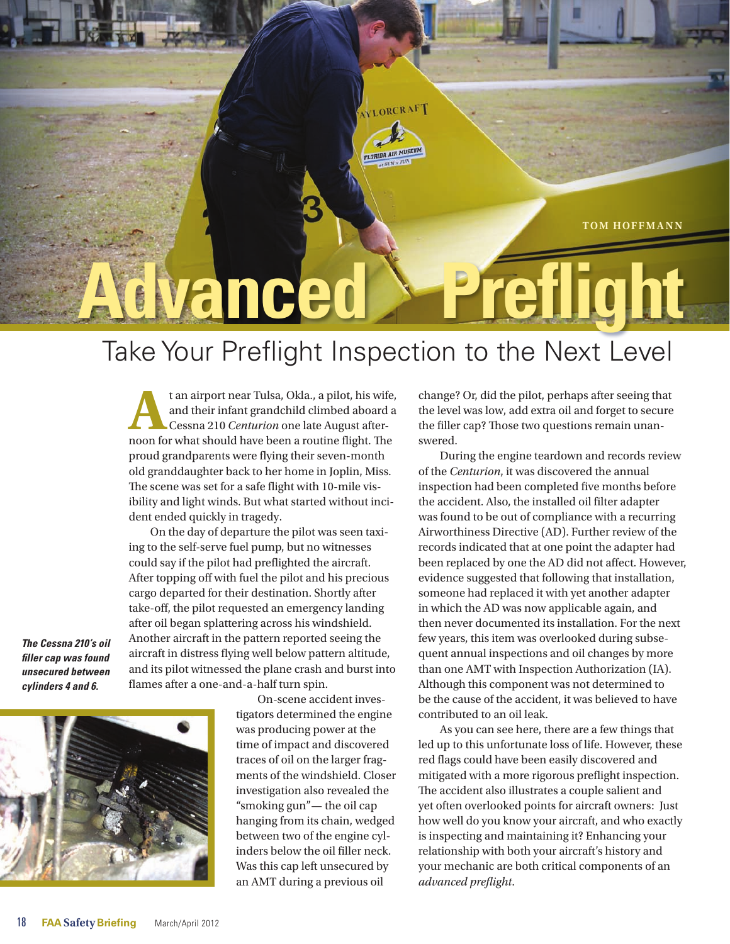

# **Preflight vanced**

## Take Your Preflight Inspection to the Next Level

AY LORCRAFT

t an airport near Tulsa, Okla., a pilot, his wife,<br>and their infant grandchild climbed aboard a<br>Cessna 210 *Centurion* one late August after-<br>noon for what should have been a routine flight. The and their infant grandchild climbed aboard a Cessna 210 *Centurion* one late August afternoon for what should have been a routine flight. The proud grandparents were flying their seven-month old granddaughter back to her home in Joplin, Miss. The scene was set for a safe flight with 10-mile visibility and light winds. But what started without incident ended quickly in tragedy.

On the day of departure the pilot was seen taxiing to the self-serve fuel pump, but no witnesses could say if the pilot had preflighted the aircraft. After topping off with fuel the pilot and his precious cargo departed for their destination. Shortly after take-off, the pilot requested an emergency landing after oil began splattering across his windshield. Another aircraft in the pattern reported seeing the aircraft in distress flying well below pattern altitude, and its pilot witnessed the plane crash and burst into flames after a one-and-a-half turn spin.

*The Cessna 210's oil filler cap was found unsecured between cylinders 4 and 6.*



On-scene accident investigators determined the engine was producing power at the time of impact and discovered traces of oil on the larger fragments of the windshield. Closer investigation also revealed the "smoking gun"— the oil cap hanging from its chain, wedged between two of the engine cylinders below the oil filler neck. Was this cap left unsecured by an AMT during a previous oil

change? Or, did the pilot, perhaps after seeing that the level was low, add extra oil and forget to secure the filler cap? Those two questions remain unanswered.

During the engine teardown and records review of the *Centurion*, it was discovered the annual inspection had been completed five months before the accident. Also, the installed oil filter adapter was found to be out of compliance with a recurring Airworthiness Directive (AD). Further review of the records indicated that at one point the adapter had been replaced by one the AD did not affect. However, evidence suggested that following that installation, someone had replaced it with yet another adapter in which the AD was now applicable again, and then never documented its installation. For the next few years, this item was overlooked during subsequent annual inspections and oil changes by more than one AMT with Inspection Authorization (IA). Although this component was not determined to be the cause of the accident, it was believed to have contributed to an oil leak.

As you can see here, there are a few things that led up to this unfortunate loss of life. However, these red flags could have been easily discovered and mitigated with a more rigorous preflight inspection. The accident also illustrates a couple salient and yet often overlooked points for aircraft owners: Just how well do you know your aircraft, and who exactly is inspecting and maintaining it? Enhancing your relationship with both your aircraft's history and your mechanic are both critical components of an *advanced preflight*.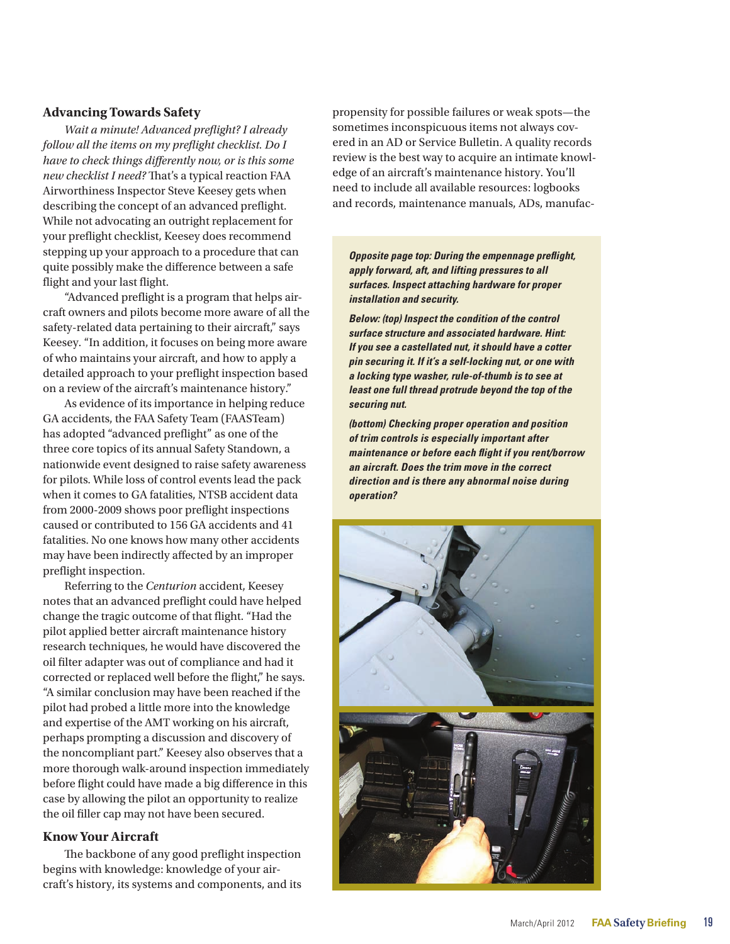#### **Advancing Towards Safety**

*Wait a minute! Advanced preflight? I already follow all the items on my preflight checklist. Do I have to check things differently now, or is this some new checklist I need?* That's a typical reaction FAA Airworthiness Inspector Steve Keesey gets when describing the concept of an advanced preflight. While not advocating an outright replacement for your preflight checklist, Keesey does recommend stepping up your approach to a procedure that can quite possibly make the difference between a safe flight and your last flight.

"Advanced preflight is a program that helps aircraft owners and pilots become more aware of all the safety-related data pertaining to their aircraft," says Keesey. "In addition, it focuses on being more aware of who maintains your aircraft, and how to apply a detailed approach to your preflight inspection based on a review of the aircraft's maintenance history."

As evidence of its importance in helping reduce GA accidents, the FAA Safety Team (FAASTeam) has adopted "advanced preflight" as one of the three core topics of its annual Safety Standown, a nationwide event designed to raise safety awareness for pilots. While loss of control events lead the pack when it comes to GA fatalities, NTSB accident data from 2000-2009 shows poor preflight inspections caused or contributed to 156 GA accidents and 41 fatalities. No one knows how many other accidents may have been indirectly affected by an improper preflight inspection.

Referring to the *Centurion* accident, Keesey notes that an advanced preflight could have helped change the tragic outcome of that flight. "Had the pilot applied better aircraft maintenance history research techniques, he would have discovered the oil filter adapter was out of compliance and had it corrected or replaced well before the flight," he says. "A similar conclusion may have been reached if the pilot had probed a little more into the knowledge and expertise of the AMT working on his aircraft, perhaps prompting a discussion and discovery of the noncompliant part." Keesey also observes that a more thorough walk-around inspection immediately before flight could have made a big difference in this case by allowing the pilot an opportunity to realize the oil filler cap may not have been secured.

#### **Know Your Aircraft**

The backbone of any good preflight inspection begins with knowledge: knowledge of your aircraft's history, its systems and components, and its propensity for possible failures or weak spots—the sometimes inconspicuous items not always covered in an AD or Service Bulletin. A quality records review is the best way to acquire an intimate knowledge of an aircraft's maintenance history. You'll need to include all available resources: logbooks and records, maintenance manuals, ADs, manufac-

*Opposite page top: During the empennage preflight, apply forward, aft, and lifting pressures to all surfaces. Inspect attaching hardware for proper installation and security.*

*Below: (top) Inspect the condition of the control surface structure and associated hardware. Hint: If you see a castellated nut, it should have a cotter pin securing it. If it's a self-locking nut, or one with a locking type washer, rule-of-thumb is to see at least one full thread protrude beyond the top of the securing nut.*

*(bottom) Checking proper operation and position of trim controls is especially important after maintenance or before each flight if you rent/borrow an aircraft. Does the trim move in the correct direction and is there any abnormal noise during operation?*

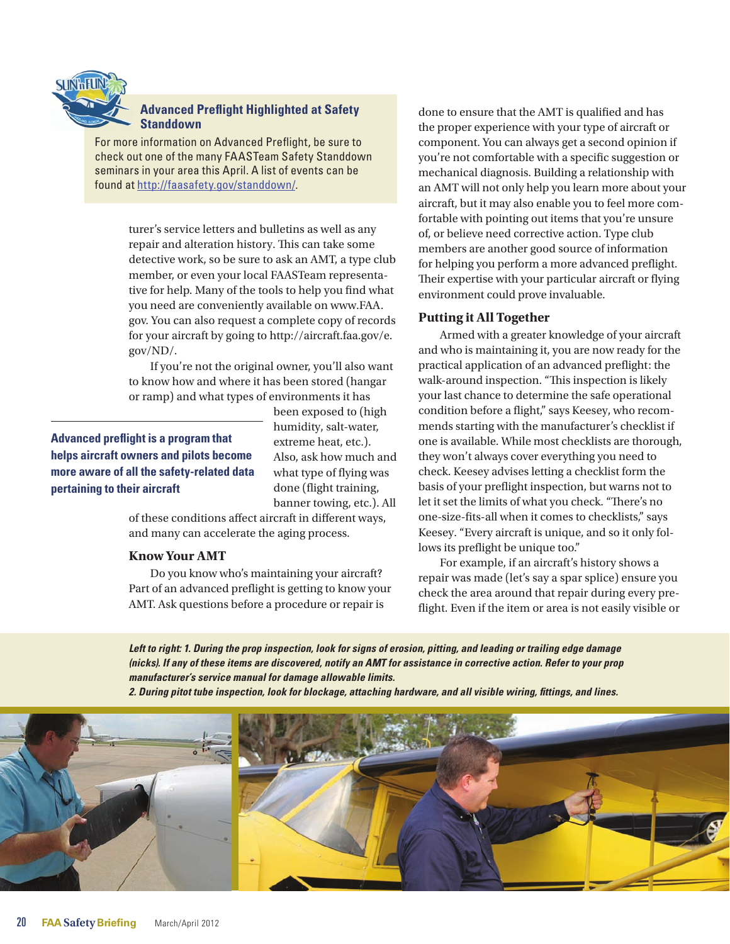

#### **Advanced Preflight Highlighted at Safety Standdown**

For more information on Advanced Preflight, be sure to check out one of the many FAASTeam Safety Standdown seminars in your area this April. A list of events can be found at [http://faasafety.gov/standdown/.](http://faasafety.gov/standdown/)

> turer's service letters and bulletins as well as any repair and alteration history. This can take some detective work, so be sure to ask an AMT, a type club member, or even your local FAASTeam representative for help. Many of the tools to help you find what you need are conveniently available on [www.FAA.](http://www.FAA.gov) [gov](http://www.FAA.gov). You can also request a complete copy of records for your aircraft by going to [http://aircraft.faa.gov/e.](http://aircraft.faa.gov/e.gov/ND/) [gov/ND/](http://aircraft.faa.gov/e.gov/ND/).

If you're not the original owner, you'll also want to know how and where it has been stored (hangar or ramp) and what types of environments it has

### **Advanced preflight is a program that helps aircraft owners and pilots become more aware of all the safety-related data pertaining to their aircraft**

been exposed to (high humidity, salt-water, extreme heat, etc.). Also, ask how much and what type of flying was done (flight training, banner towing, etc.). All

of these conditions affect aircraft in different ways, and many can accelerate the aging process.

#### **Know Your AMT**

Do you know who's maintaining your aircraft? Part of an advanced preflight is getting to know your AMT. Ask questions before a procedure or repair is

done to ensure that the AMT is qualified and has the proper experience with your type of aircraft or component. You can always get a second opinion if you're not comfortable with a specific suggestion or mechanical diagnosis. Building a relationship with an AMT will not only help you learn more about your aircraft, but it may also enable you to feel more comfortable with pointing out items that you're unsure of, or believe need corrective action. Type club members are another good source of information for helping you perform a more advanced preflight. Their expertise with your particular aircraft or flying environment could prove invaluable.

#### **Putting it All Together**

Armed with a greater knowledge of your aircraft and who is maintaining it, you are now ready for the practical application of an advanced preflight: the walk-around inspection. "This inspection is likely your last chance to determine the safe operational condition before a flight," says Keesey, who recommends starting with the manufacturer's checklist if one is available. While most checklists are thorough, they won't always cover everything you need to check. Keesey advises letting a checklist form the basis of your preflight inspection, but warns not to let it set the limits of what you check. "There's no one-size-fits-all when it comes to checklists," says Keesey. "Every aircraft is unique, and so it only follows its preflight be unique too."

For example, if an aircraft's history shows a repair was made (let's say a spar splice) ensure you check the area around that repair during every preflight. Even if the item or area is not easily visible or

*Left to right: 1. During the prop inspection, look for signs of erosion, pitting, and leading or trailing edge damage (nicks). If any of these items are discovered, notify an AMT for assistance in corrective action. Refer to your prop manufacturer's service manual for damage allowable limits.* 

*2. During pitot tube inspection, look for blockage, attaching hardware, and all visible wiring, fittings, and lines.*